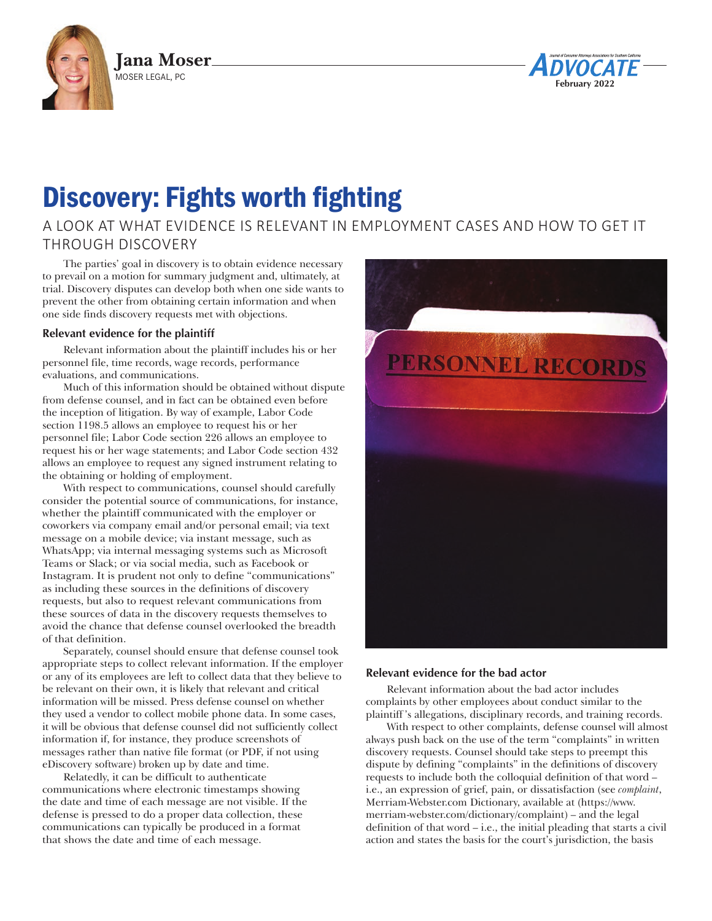



# Discovery: Fights worth fighting

# A LOOK AT WHAT EVIDENCE IS RELEVANT IN EMPLOYMENT CASES AND HOW TO GET IT THROUGH DISCOVERY

The parties' goal in discovery is to obtain evidence necessary to prevail on a motion for summary judgment and, ultimately, at trial. Discovery disputes can develop both when one side wants to prevent the other from obtaining certain information and when one side finds discovery requests met with objections.

## **Relevant evidence for the plaintiff**

Relevant information about the plaintiff includes his or her personnel file, time records, wage records, performance evaluations, and communications.

Much of this information should be obtained without dispute from defense counsel, and in fact can be obtained even before the inception of litigation. By way of example, Labor Code section 1198.5 allows an employee to request his or her personnel file; Labor Code section 226 allows an employee to request his or her wage statements; and Labor Code section 432 allows an employee to request any signed instrument relating to the obtaining or holding of employment.

With respect to communications, counsel should carefully consider the potential source of communications, for instance, whether the plaintiff communicated with the employer or coworkers via company email and/or personal email; via text message on a mobile device; via instant message, such as WhatsApp; via internal messaging systems such as Microsoft Teams or Slack; or via social media, such as Facebook or Instagram. It is prudent not only to define "communications" as including these sources in the definitions of discovery requests, but also to request relevant communications from these sources of data in the discovery requests themselves to avoid the chance that defense counsel overlooked the breadth of that definition.

Separately, counsel should ensure that defense counsel took appropriate steps to collect relevant information. If the employer or any of its employees are left to collect data that they believe to be relevant on their own, it is likely that relevant and critical information will be missed. Press defense counsel on whether they used a vendor to collect mobile phone data. In some cases, it will be obvious that defense counsel did not sufficiently collect information if, for instance, they produce screenshots of messages rather than native file format (or PDF, if not using eDiscovery software) broken up by date and time.

Relatedly, it can be difficult to authenticate communications where electronic timestamps showing the date and time of each message are not visible. If the defense is pressed to do a proper data collection, these communications can typically be produced in a format that shows the date and time of each message.



#### **Relevant evidence for the bad actor**

Relevant information about the bad actor includes complaints by other employees about conduct similar to the plaintiff 's allegations, disciplinary records, and training records.

With respect to other complaints, defense counsel will almost always push back on the use of the term "complaints" in written discovery requests. Counsel should take steps to preempt this dispute by defining "complaints" in the definitions of discovery requests to include both the colloquial definition of that word – i.e., an expression of grief, pain, or dissatisfaction (see *complaint*, Merriam-Webster.com Dictionary, available at (https://www. merriam-webster.com/dictionary/complaint) – and the legal definition of that word – i.e., the initial pleading that starts a civil action and states the basis for the court's jurisdiction, the basis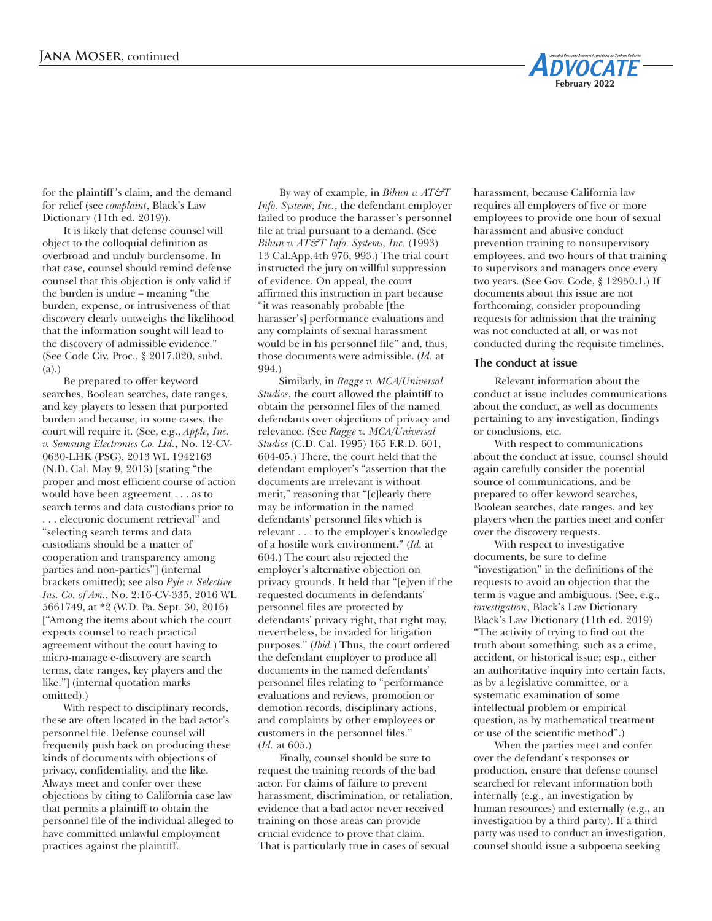

for the plaintiff 's claim, and the demand for relief (see *complaint*, Black's Law Dictionary (11th ed. 2019)).

It is likely that defense counsel will object to the colloquial definition as overbroad and unduly burdensome. In that case, counsel should remind defense counsel that this objection is only valid if the burden is undue – meaning "the burden, expense, or intrusiveness of that discovery clearly outweighs the likelihood that the information sought will lead to the discovery of admissible evidence." (See Code Civ. Proc., § 2017.020, subd. (a).)

Be prepared to offer keyword searches, Boolean searches, date ranges, and key players to lessen that purported burden and because, in some cases, the court will require it. (See, e.g., *Apple, Inc. v. Samsung Electronics Co. Ltd.*, No. 12-CV-0630-LHK (PSG), 2013 WL 1942163 (N.D. Cal. May 9, 2013) [stating "the proper and most efficient course of action would have been agreement . . . as to search terms and data custodians prior to . . . electronic document retrieval" and "selecting search terms and data custodians should be a matter of cooperation and transparency among parties and non-parties"] (internal brackets omitted); see also *Pyle v. Selective Ins. Co. of Am.*, No. 2:16-CV-335, 2016 WL 5661749, at \*2 (W.D. Pa. Sept. 30, 2016) ["Among the items about which the court expects counsel to reach practical agreement without the court having to micro-manage e-discovery are search terms, date ranges, key players and the like."] (internal quotation marks omitted).)

With respect to disciplinary records, these are often located in the bad actor's personnel file. Defense counsel will frequently push back on producing these kinds of documents with objections of privacy, confidentiality, and the like. Always meet and confer over these objections by citing to California case law that permits a plaintiff to obtain the personnel file of the individual alleged to have committed unlawful employment practices against the plaintiff.

By way of example, in *Bihun v. AT&T Info. Systems, Inc.*, the defendant employer failed to produce the harasser's personnel file at trial pursuant to a demand. (See *Bihun v. AT&T Info. Systems, Inc.* (1993) 13 Cal.App.4th 976, 993.) The trial court instructed the jury on willful suppression of evidence. On appeal, the court affirmed this instruction in part because "it was reasonably probable [the harasser's] performance evaluations and any complaints of sexual harassment would be in his personnel file" and, thus, those documents were admissible. (*Id.* at 994.)

Similarly, in *Ragge v. MCA/Universal Studios*, the court allowed the plaintiff to obtain the personnel files of the named defendants over objections of privacy and relevance. (See *Ragge v. MCA/Universal Studios* (C.D. Cal. 1995) 165 F.R.D. 601, 604-05.) There, the court held that the defendant employer's "assertion that the documents are irrelevant is without merit," reasoning that "[c]learly there may be information in the named defendants' personnel files which is relevant . . . to the employer's knowledge of a hostile work environment." (*Id.* at 604.) The court also rejected the employer's alternative objection on privacy grounds. It held that "[e]ven if the requested documents in defendants' personnel files are protected by defendants' privacy right, that right may, nevertheless, be invaded for litigation purposes." (*Ibid.*) Thus, the court ordered the defendant employer to produce all documents in the named defendants' personnel files relating to "performance evaluations and reviews, promotion or demotion records, disciplinary actions, and complaints by other employees or customers in the personnel files." (*Id.* at 605.)

Finally, counsel should be sure to request the training records of the bad actor. For claims of failure to prevent harassment, discrimination, or retaliation, evidence that a bad actor never received training on those areas can provide crucial evidence to prove that claim. That is particularly true in cases of sexual

harassment, because California law requires all employers of five or more employees to provide one hour of sexual harassment and abusive conduct prevention training to nonsupervisory employees, and two hours of that training to supervisors and managers once every two years. (See Gov. Code, § 12950.1.) If documents about this issue are not forthcoming, consider propounding requests for admission that the training was not conducted at all, or was not conducted during the requisite timelines.

#### **The conduct at issue**

Relevant information about the conduct at issue includes communications about the conduct, as well as documents pertaining to any investigation, findings or conclusions, etc.

With respect to communications about the conduct at issue, counsel should again carefully consider the potential source of communications, and be prepared to offer keyword searches, Boolean searches, date ranges, and key players when the parties meet and confer over the discovery requests.

With respect to investigative documents, be sure to define "investigation" in the definitions of the requests to avoid an objection that the term is vague and ambiguous. (See, e.g., *investigation*, Black's Law Dictionary Black's Law Dictionary (11th ed. 2019) "The activity of trying to find out the truth about something, such as a crime, accident, or historical issue; esp., either an authoritative inquiry into certain facts, as by a legislative committee, or a systematic examination of some intellectual problem or empirical question, as by mathematical treatment or use of the scientific method".)

When the parties meet and confer over the defendant's responses or production, ensure that defense counsel searched for relevant information both internally (e.g., an investigation by human resources) and externally (e.g., an investigation by a third party). If a third party was used to conduct an investigation, counsel should issue a subpoena seeking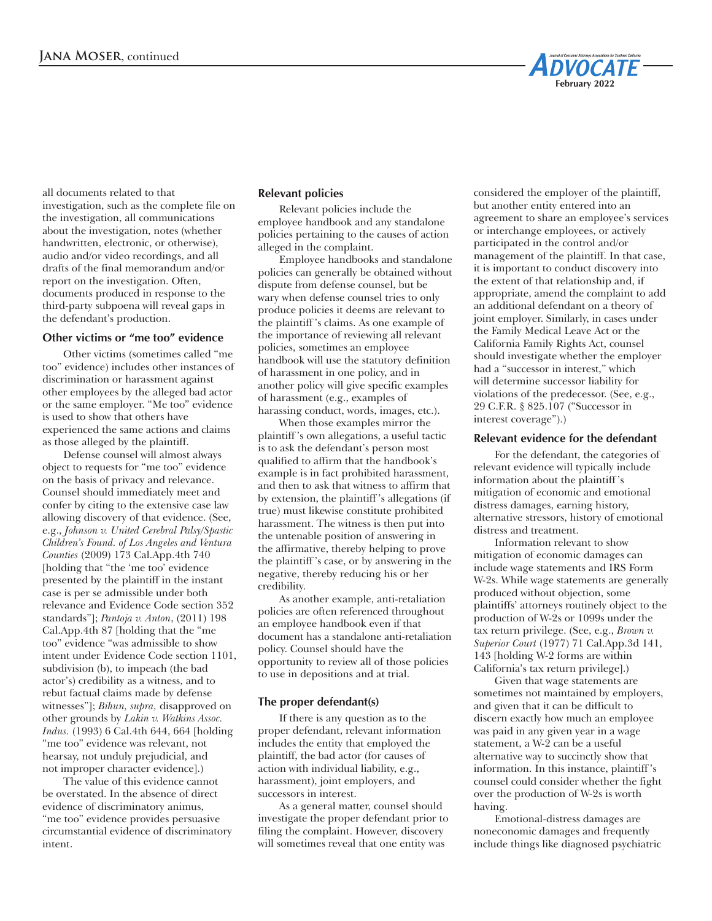

all documents related to that investigation, such as the complete file on the investigation, all communications about the investigation, notes (whether handwritten, electronic, or otherwise), audio and/or video recordings, and all drafts of the final memorandum and/or report on the investigation. Often, documents produced in response to the third-party subpoena will reveal gaps in the defendant's production.

#### **Other victims or "me too" evidence**

Other victims (sometimes called "me too" evidence) includes other instances of discrimination or harassment against other employees by the alleged bad actor or the same employer. "Me too" evidence is used to show that others have experienced the same actions and claims as those alleged by the plaintiff.

Defense counsel will almost always object to requests for "me too" evidence on the basis of privacy and relevance. Counsel should immediately meet and confer by citing to the extensive case law allowing discovery of that evidence. (See, e.g., *Johnson v. United Cerebral Palsy/Spastic Children's Found. of Los Angeles and Ventura Counties* (2009) 173 Cal.App.4th 740 [holding that "the 'me too' evidence presented by the plaintiff in the instant case is per se admissible under both relevance and Evidence Code section 352 standards"]; *Pantoja v. Anton*, (2011) 198 Cal.App.4th 87 [holding that the "me too" evidence "was admissible to show intent under Evidence Code section 1101, subdivision (b), to impeach (the bad actor's) credibility as a witness, and to rebut factual claims made by defense witnesses"]; *Bihun, supra,* disapproved on other grounds by *Lakin v. Watkins Assoc. Indus.* (1993) 6 Cal.4th 644, 664 [holding "me too" evidence was relevant, not hearsay, not unduly prejudicial, and not improper character evidence].)

The value of this evidence cannot be overstated. In the absence of direct evidence of discriminatory animus, "me too" evidence provides persuasive circumstantial evidence of discriminatory intent.

#### **Relevant policies**

Relevant policies include the employee handbook and any standalone policies pertaining to the causes of action alleged in the complaint.

Employee handbooks and standalone policies can generally be obtained without dispute from defense counsel, but be wary when defense counsel tries to only produce policies it deems are relevant to the plaintiff 's claims. As one example of the importance of reviewing all relevant policies, sometimes an employee handbook will use the statutory definition of harassment in one policy, and in another policy will give specific examples of harassment (e.g., examples of harassing conduct, words, images, etc.).

When those examples mirror the plaintiff 's own allegations, a useful tactic is to ask the defendant's person most qualified to affirm that the handbook's example is in fact prohibited harassment, and then to ask that witness to affirm that by extension, the plaintiff 's allegations (if true) must likewise constitute prohibited harassment. The witness is then put into the untenable position of answering in the affirmative, thereby helping to prove the plaintiff 's case, or by answering in the negative, thereby reducing his or her credibility.

As another example, anti-retaliation policies are often referenced throughout an employee handbook even if that document has a standalone anti-retaliation policy. Counsel should have the opportunity to review all of those policies to use in depositions and at trial.

#### **The proper defendant(s)**

If there is any question as to the proper defendant, relevant information includes the entity that employed the plaintiff, the bad actor (for causes of action with individual liability, e.g., harassment), joint employers, and successors in interest.

As a general matter, counsel should investigate the proper defendant prior to filing the complaint. However, discovery will sometimes reveal that one entity was

considered the employer of the plaintiff, but another entity entered into an agreement to share an employee's services or interchange employees, or actively participated in the control and/or management of the plaintiff. In that case, it is important to conduct discovery into the extent of that relationship and, if appropriate, amend the complaint to add an additional defendant on a theory of joint employer. Similarly, in cases under the Family Medical Leave Act or the California Family Rights Act, counsel should investigate whether the employer had a "successor in interest," which will determine successor liability for violations of the predecessor. (See, e.g., 29 C.F.R. § 825.107 ("Successor in interest coverage").)

## **Relevant evidence for the defendant**

For the defendant, the categories of relevant evidence will typically include information about the plaintiff 's mitigation of economic and emotional distress damages, earning history, alternative stressors, history of emotional distress and treatment.

Information relevant to show mitigation of economic damages can include wage statements and IRS Form W-2s. While wage statements are generally produced without objection, some plaintiffs' attorneys routinely object to the production of W-2s or 1099s under the tax return privilege. (See, e.g., *Brown v. Superior Court* (1977) 71 Cal.App.3d 141, 143 [holding W-2 forms are within California's tax return privilege].)

Given that wage statements are sometimes not maintained by employers, and given that it can be difficult to discern exactly how much an employee was paid in any given year in a wage statement, a W-2 can be a useful alternative way to succinctly show that information. In this instance, plaintiff 's counsel could consider whether the fight over the production of W-2s is worth having.

Emotional-distress damages are noneconomic damages and frequently include things like diagnosed psychiatric